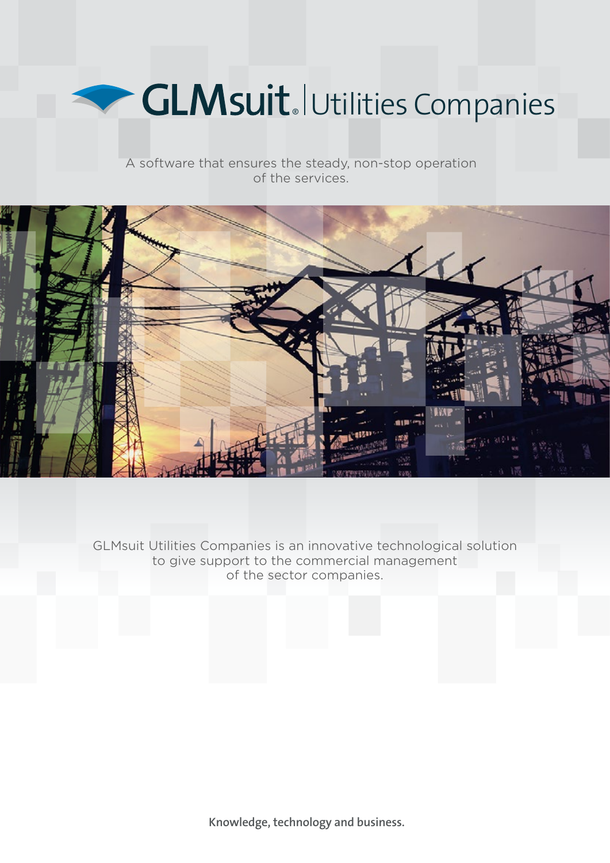

A software that ensures the steady, non-stop operation of the services.



GLMsuit Utilities Companies is an innovative technological solution to give support to the commercial management of the sector companies.

**Knowledge, technology and business.**